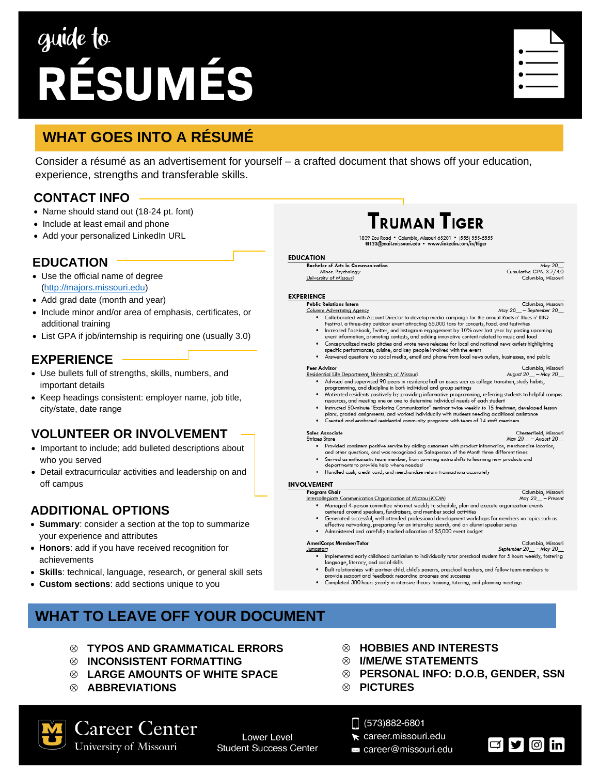# guide to RÉSUMÉS

## **WHAT GOES INTO A RÉSUMÉ**

Consider a résumé as an advertisement for yourself – a crafted document that shows off your education, experience, strengths and transferable skills.

> **EDUCATION Bachelor**

**EXPERIENCE** 

### **CONTACT INFO**

- Name should stand out (18-24 pt. font)
- Include at least email and phone
- Add your personalized LinkedIn URL

#### **EDUCATION**

- Use the official name of degree [\(http://majors.missouri.edu\)](http://majors.missouri.edu/)
- Add grad date (month and year)
- Include minor and/or area of emphasis, certificates, or additional training
- List GPA if job/internship is requiring one (usually 3.0)

### **EXPERIENCE**

- Use bullets full of strengths, skills, numbers, and important details
- Keep headings consistent: employer name, job title, city/state, date range

#### **VOLUNTEER OR INVOLVEMENT**

- Important to include; add bulleted descriptions about who you served
- Detail extracurricular activities and leadership on and off campus

### **ADDITIONAL OPTIONS**

- **Summary**: consider a section at the top to summarize your experience and attributes
- **Honors**: add if you have received recognition for achievements
- **Skills**: technical, language, research, or general skill sets
- **Custom sections**: add sections unique to you

### **WHAT TO LEAVE OFF YOUR DOCUMENT**

- **TYPOS AND GRAMMATICAL ERRORS**
- **INCONSISTENT FORMATTING**
- **LARGE AMOUNTS OF WHITE SPACE**
- **ABBREVIATIONS**

Career Center

University of Missouri

#### **HOBBIES AND INTERESTS**

- **I/ME/WE STATEMENTS**
- **PERSONAL INFO: D.O.B, GENDER, SSN**
- **PICTURES**

#### $\Box$  (573)882-6801

- career.missouri.edu
- career@missouri.edu



Columbia, Missouri

| <b>Bachelor of Arts in Communication</b> | May 20                        |
|------------------------------------------|-------------------------------|
| Minor: Psychology                        | Cumulative GPA: 3.7/4.0       |
| University of Missouri                   | Columbia, Missouri            |
|                                          |                               |
|                                          |                               |
| RIENCE                                   |                               |
| <b>PUPPIN 11</b>                         | $-1$ $-1$ $-1$ $+1$ $-1$ $-1$ |

TRUMAN TIGFR

- Columbia, Missouri<br>May 20 September 20 **Public Re** Columns Advertising Agency Collaborated with Account Director to develop media campaign for the annual Roots n' Blues n' BBQ<br>Festival, a three-day outdoor event attracting 65,000 fans for concerts, food, and festivities
	-
	- Increased Facebook, Twitter, and Instagram engagement by 10% over last year by posting upo<br>event information, promoting contests, and adding innovative content related to music and food . Conceptualized media pitches and wrote news releases for local and national news outlets highlighting
	- specific performances, cuisine, and key people involved with the event Answered questions via social media, email and phone from local news outlets, businesses, and public

#### **Peer Advisor** Columbia, Missouri

- **Residential Life Department, University of Missouri** August 20\_ - May 20\_ • Advised and supervised 90 peers in residence hall on issues such as college transition, study habits, programming, and discipline in both individual and group settings
	- . Motivated residents positively by providing informative programming, referring students to helpful campus<br>resources, and meeting one on one to determine individual needs of each student
	- Instructed 50-minute "Exploring Communication" seminar twice weekly to 15 freshmen, developed lesson<br>plans, graded assignments, and worked individually with students needing additional assistance
	- . Created and enahnced residential community programs with team of 14 staff members

#### **Sales Associate**

- Chesterfield, Missouri<br>May 20\_ August 20\_ **Stripes Store** extract the Provided consistent positive service by aiding customers with product information, merchandise location,<br>and other questions, and was recognized as Salesperson of the Month three different times
	- . Served as enthusiastic team member, from covering extra shifts to learning new products and departments to provide help where needed
	- · Handled cash, credit card, and merchandise return transactions accurately

#### **INVOLVEMENT**

- Program Chair Columbia, Missouri Intercollegiate Communication Organization of Mizzou (iCOM) May 20\_ . Managed 4-person committee who met weekly to schedule, plan and execute organization events
	- centered around speakers, fundraisers, and member social activities • Generated successful, well-attended professional development workshops for members on topics such as<br>effective networking, preparing for an internship search, and an alumni speaker series
	- Administered and carefully tracked allocation of \$5,000 event budget

#### **AmeriCorps Member/Tutor** Jumpstart

- September 20\_ May 20 . Implemented early childhood curriculum to individually tutor preschool student for 5 hours weekly, fostering  $\log$ uage, literacy, and social skills
- . Built relationships with partner child, child's parents, preschool teachers, and fellow team members to provide support and feedback regarding progress and successes
- . Completed 300 hours yearly in intensive theory training, tutoring, and planning meetings



**Lower Level Student Success Center**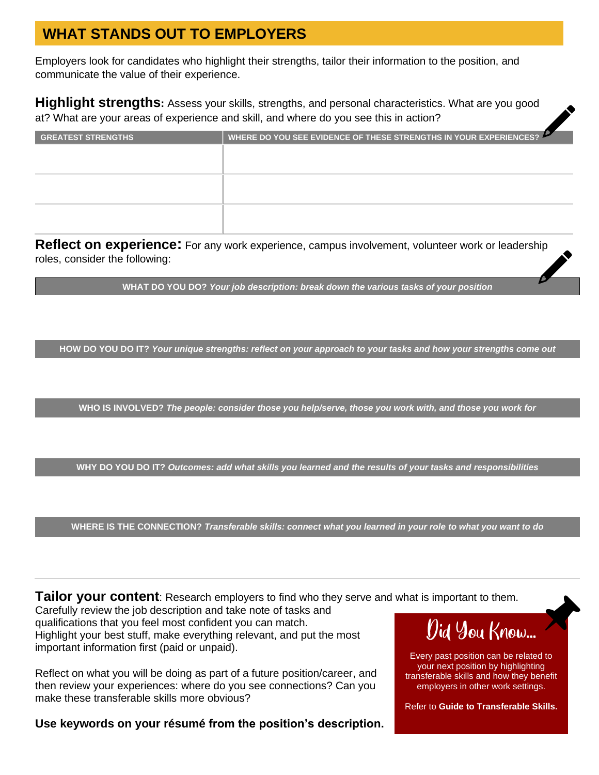# **WHAT STANDS OUT TO EMPLOYERS**

Employers look for candidates who highlight their strengths, tailor their information to the position, and communicate the value of their experience.

**Highlight strengths:** Assess your skills, strengths, and personal characteristics. What are you good at? What are your areas of experience and skill, and where do you see this in action?

| <b>GREATEST STRENGTHS</b> | WHERE DO YOU SEE EVIDENCE OF THESE STRENGTHS IN YOUR EXPERIENCES? |
|---------------------------|-------------------------------------------------------------------|
|                           |                                                                   |
|                           |                                                                   |
|                           |                                                                   |
|                           |                                                                   |
|                           |                                                                   |
|                           |                                                                   |

**Reflect on experience:** For any work experience, campus involvement, volunteer work or leadership roles, consider the following:

**WHAT DO YOU DO?** *Your job description: break down the various tasks of your position*

**HOW DO YOU DO IT?** *Your unique strengths: reflect on your approach to your tasks and how your strengths come out*

**WHO IS INVOLVED?** *The people: consider those you help/serve, those you work with, and those you work for*

**WHY DO YOU DO IT?** *Outcomes: add what skills you learned and the results of your tasks and responsibilities*

**WHERE IS THE CONNECTION?** *Transferable skills: connect what you learned in your role to what you want to do*

**Tailor your content**: Research employers to find who they serve and what is important to them.

Carefully review the job description and take note of tasks and qualifications that you feel most confident you can match. Highlight your best stuff, make everything relevant, and put the most important information first (paid or unpaid).

Reflect on what you will be doing as part of a future position/career, and then review your experiences: where do you see connections? Can you make these transferable skills more obvious?

**Use keywords on your résumé from the position's description.**

# Did You Know...

Every past position can be related to your next position by highlighting transferable skills and how they benefit employers in other work settings.

Refer to **Guide to Transferable Skills.**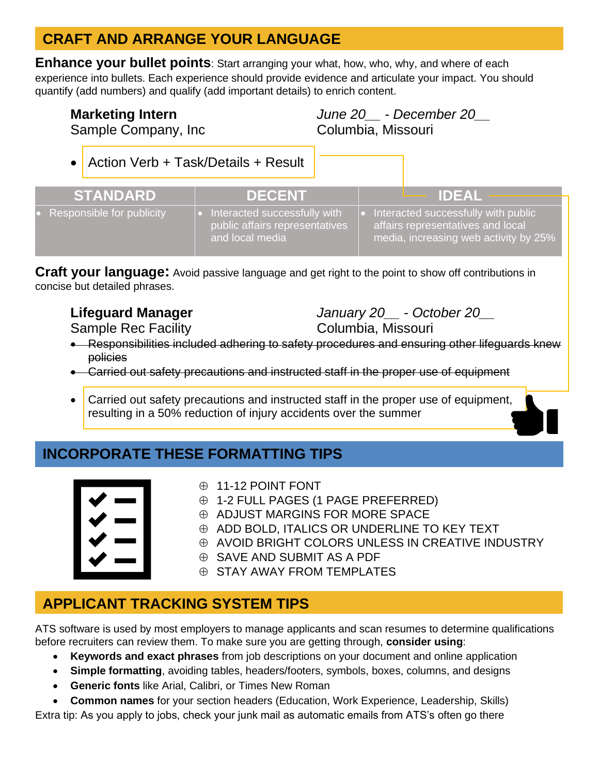## **CRAFT AND ARRANGE YOUR LANGUAGE**

**Enhance your bullet points**: Start arranging your what, how, who, why, and where of each experience into bullets. Each experience should provide evidence and articulate your impact. You should quantify (add numbers) and qualify (add important details) to enrich content.

**Marketing Intern** *June 20\_\_ - December 20\_\_* Sample Company, Inc Columbia, Missouri

• Action Verb + Task/Details + Result **STANDARD DECENT IDEAL** Responsible for publicity • Interacted successfully with public affairs representatives and local media • Interacted successfully with public affairs representatives and local media, increasing web activity by 25%

**Craft your language:** Avoid passive language and get right to the point to show off contributions in concise but detailed phrases.

Sample Rec Facility **Columbia, Missouri** Columbia, Missouri

**Lifeguard Manager** *January 20\_\_ - October 20\_\_*

- Responsibilities included adhering to safety procedures and ensuring other lifeguards knew policies
- Carried out safety precautions and instructed staff in the proper use of equipment
- Carried out safety precautions and instructed staff in the proper use of equipment, resulting in a 50% reduction of injury accidents over the summer

### **INCORPORATE THESE FORMATTING TIPS**



- 11-12 POINT FONT
- 1-2 FULL PAGES (1 PAGE PREFERRED)
- $\oplus$  ADJUST MARGINS FOR MORE SPACE
- $\oplus$  ADD BOLD, ITALICS OR UNDERLINE TO KEY TEXT
- $\oplus$  AVOID BRIGHT COLORS UNLESS IN CREATIVE INDUSTRY
- SAVE AND SUBMIT AS A PDF
- $\oplus$  STAY AWAY FROM TEMPLATES

## **APPLICANT TRACKING SYSTEM TIPS**

ATS software is used by most employers to manage applicants and scan resumes to determine qualifications before recruiters can review them. To make sure you are getting through, **consider using**:

- **Keywords and exact phrases** from job descriptions on your document and online application
- **Simple formatting**, avoiding tables, headers/footers, symbols, boxes, columns, and designs
- **Generic fonts** like Arial, Calibri, or Times New Roman
- **Common names** for your section headers (Education, Work Experience, Leadership, Skills)

Extra tip: As you apply to jobs, check your junk mail as automatic emails from ATS's often go there